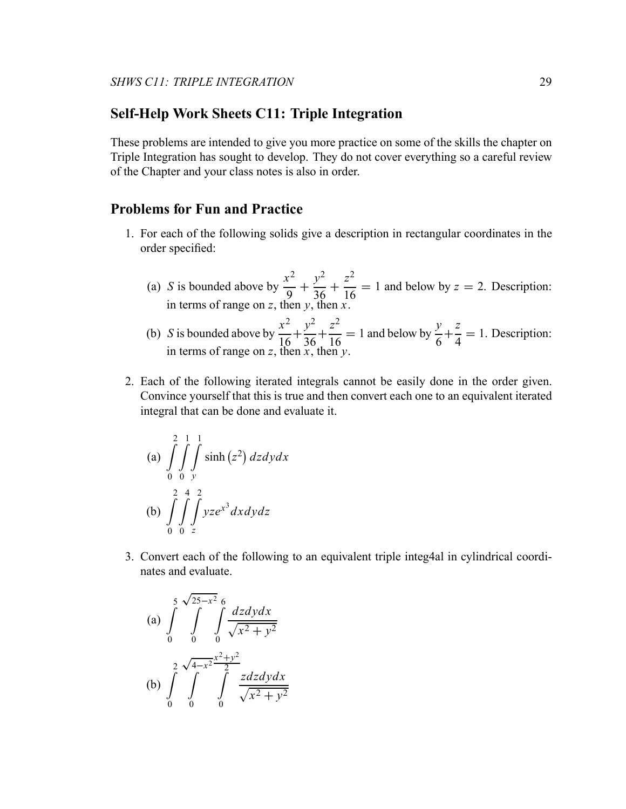## **Self-Help Work Sheets C11: Triple Integration**

These problems are intended to give you more practice on some of the skills the chapter on Triple Integration has sought to develop. They do not cover everything so a careful review of the Chapter and your class notes is also in order.

## **Problems for Fun and Practice**

- 1. For each of the following solids give a description in rectangular coordinates in the order specified:
	- (a) *S* is bounded above by  $\frac{x^2}{9} + \frac{y^2}{36} + \cdots$ *z*2  $\frac{2}{16}$  = 1 and below by *z* = 2. Description: in terms of range on *z*, then *y*, then *x*.
	- (b) *S* is bounded above by  $\frac{x^2}{16} + \frac{y^2}{36} + \dots$  $\frac{z^2}{16}$  = 1 and below by  $\frac{y}{6}$  + *z*  $\frac{2}{4} = 1$ . Description: in terms of range on *z*, then *x*, then *y*.
- 2. Each of the following iterated integrals cannot be easily done in the order given. Convince yourself that this is true and then convert each one to an equivalent iterated integral that can be done and evaluate it.

(a) 
$$
\int_{0}^{2} \int_{0}^{1} \int_{y}^{1} \sinh(z^2) dz dy dx
$$
  
\n(b)  $\int_{0}^{2} \int_{0}^{4} \int_{z}^{2} yze^{x^3} dx dy dz$ 

3. Convert each of the following to an equivalent triple integ4al in cylindrical coordinates and evaluate.

(a) 
$$
\int_{0}^{5} \int_{0}^{\sqrt{25-x^2}} \int_{0}^{6} \frac{dzdydx}{\sqrt{x^2 + y^2}}
$$
  
\n(b) 
$$
\int_{0}^{2} \int_{0}^{\sqrt{4-x^2}} \int_{0}^{x^2 + y^2} \frac{zdzdydx}{\sqrt{x^2 + y^2}}
$$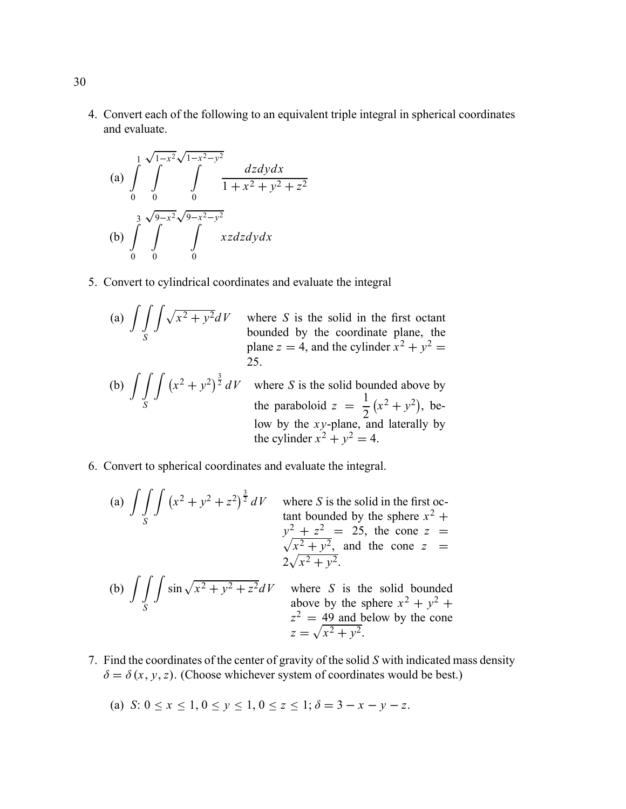4. Convert each of the following to an equivalent triple integral in spherical coordinates and evaluate.

(a) 
$$
\int_{0}^{1} \int_{0}^{\sqrt{1-x^2}\sqrt{1-x^2-y^2}} \frac{dzdydx}{1+x^2+y^2+z^2}
$$
  
\n(b) 
$$
\int_{0}^{3} \int_{0}^{\sqrt{9-x^2}\sqrt{9-x^2-y^2}} xzdzdydx
$$

- 5. Convert to cylindrical coordinates and evaluate the integral
	- (a)  $\int$ *S*  $\int_{\gamma}$

 $x^2 + y^2 dV$  where *S* is the solid in the first octant bounded by the coordinate plane, the plane  $z = 4$ , and the cylinder  $x^2 + y^2 =$ 25.

- (b)  $\int$ *S*
	- $\int (x^2 + y^2)^{\frac{3}{2}} dV$  where *S* is the solid bounded above by the paraboloid  $z = \frac{1}{2}$  $(x^2 + y^2)$ , below by the *x y*-plane, and laterally by the cylinder  $x^2 + y^2 = 4$ .
- 6. Convert to spherical coordinates and evaluate the integral.
	- (a)  $\int$ *S*  $\int (x^2 + y^2 + z^2)^{\frac{3}{2}} dV$  where *S* is the solid in the first octant bounded by the sphere  $x^2 +$  $y^2 + z^2 = 25$ , the cone  $z =$ <br> $\sqrt{x^2 + y^2}$  and the cone  $z =$  $\frac{x^2 + y^2}{\sqrt{2}}$  and the cone *z* =  $2\sqrt{x^2 + y^2}$ . (b)  $\int$ *S*  $\int \sin \sqrt{x^2 + y^2 + z^2} dV$  where *S* is the solid bounded above by the sphere  $x^2 + y^2 + z^2$  $z^2 = 49$  and below by the cone  $z = \sqrt{x^2 + y^2}.$
- 7. Find the coordinates of the center of gravity of the solid *S* with indicated mass density  $\delta = \delta(x, y, z)$ . (Choose whichever system of coordinates would be best.)
	- (a) *S*:  $0 < x < 1$ ,  $0 < y < 1$ ,  $0 < z < 1$ ;  $\delta = 3 x y z$ .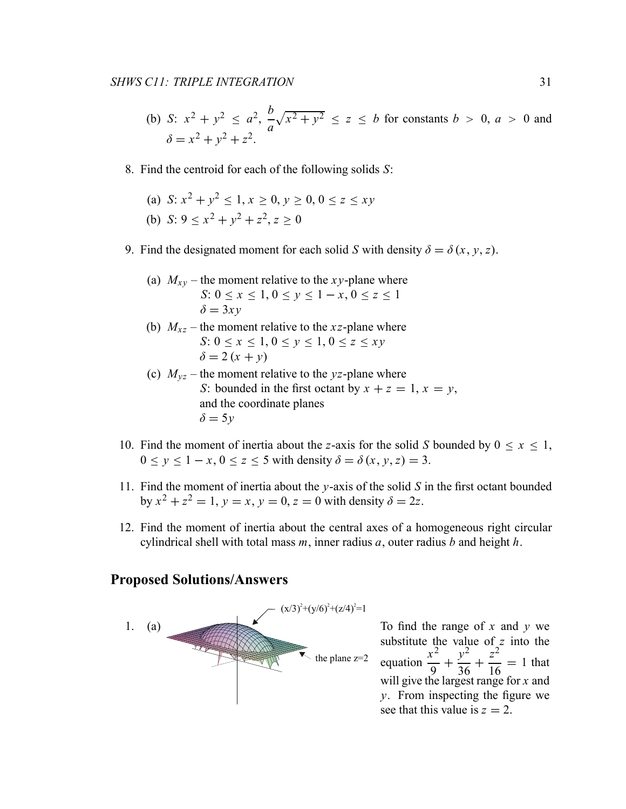- (b) *S*:  $x^2 + y^2 \le a^2$ ,  $\frac{b}{a}$  $\sqrt{x^2 + y^2} \le z \le b$  for constants  $b > 0$ ,  $a > 0$  and  $\delta = x^2 + y^2 + z^2$
- 8. Find the centroid for each of the following solids *S*:
	- (a)  $S: x^2 + y^2 < 1, x > 0, y > 0, 0 < z < xy$
	- (b) *S*:  $9 < x^2 + y^2 + z^2$ ,  $z > 0$
- 9. Find the designated moment for each solid *S* with density  $\delta = \delta(x, y, z)$ .

(a) 
$$
M_{xy}
$$
 – the moment relative to the *xy*-plane where  
\n $S: 0 \le x \le 1, 0 \le y \le 1 - x, 0 \le z \le 1$   
\n $\delta = 3xy$ 

- (b)  $M_{xz}$  the moment relative to the *xz*-plane where *S*:  $0 \le x \le 1, 0 \le y \le 1, 0 \le z \le xy$  $\delta = 2(x + y)$
- (c)  $M_{vz}$  the moment relative to the *yz*-plane where *S*: bounded in the first octant by  $x + z = 1$ ,  $x = y$ , and the coordinate planes  $\delta = 5y$
- 10. Find the moment of inertia about the *z*-axis for the solid *S* bounded by  $0 \le x \le 1$ ,  $0 \le y \le 1-x$ ,  $0 \le z \le 5$  with density  $\delta = \delta(x, y, z) = 3$ .
- 11. Find the moment of inertia about the *y*-axis of the solid *S* in the first octant bounded by  $x^2 + z^2 = 1$ ,  $y = x$ ,  $y = 0$ ,  $z = 0$  with density  $\delta = 2z$ .
- 12. Find the moment of inertia about the central axes of a homogeneous right circular cylindrical shell with total mass *m*, inner radius *a*, outer radius *b* and height *h*.

## **Proposed Solutions/Answers**



To find the range of *x* and *y* we substitute the value of *z* into the equation  $\frac{x^2}{9} + \frac{y^2}{36} + \dots$ *z*2  $\frac{2}{16}$  = 1 that will give the largest range for *x* and *y*. From inspecting the figure we see that this value is  $z = 2$ .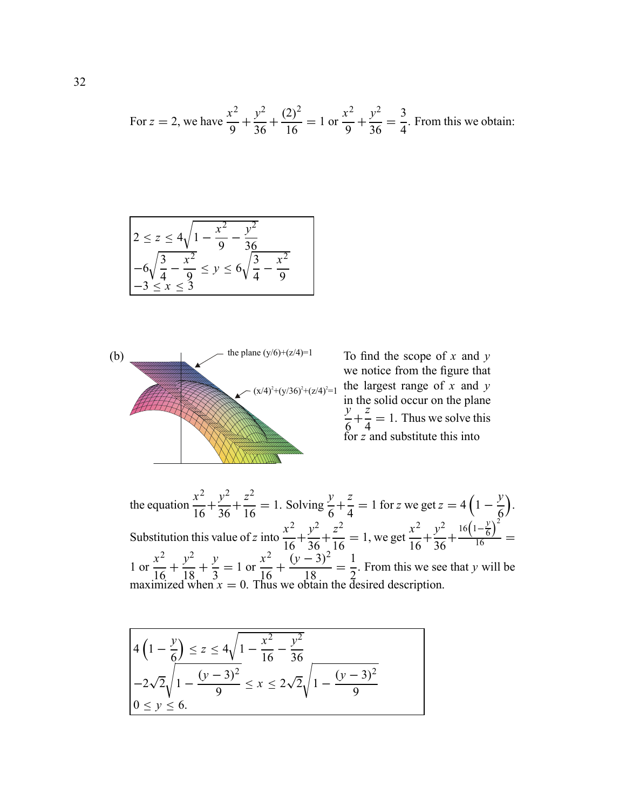For 
$$
z = 2
$$
, we have  $\frac{x^2}{9} + \frac{y^2}{36} + \frac{(2)^2}{16} = 1$  or  $\frac{x^2}{9} + \frac{y^2}{36} = \frac{3}{4}$ . From this we obtain:

$$
2 \le z \le 4\sqrt{1 - \frac{x^2}{9} - \frac{y^2}{36}}
$$
  
-6\sqrt{\frac{3}{4} - \frac{x^2}{9}} \le y \le 6\sqrt{\frac{3}{4} - \frac{x^2}{9}}  
-3 \le x \le 3



To find the scope of *x* and *y* we notice from the figure that the largest range of *x* and *y* in the solid occur on the plane *y*  $\frac{1}{6}$ *z*  $\frac{2}{4} = 1$ . Thus we solve this for *z* and substitute this into

the equation  $\frac{x^2}{16} + \frac{y^2}{36} +$  $rac{z^2}{16} = 1$ . Solving  $rac{y}{6} +$ *z*  $\frac{z}{4} = 1$  for *z* we get  $z = 4\left(1 - \frac{y}{6}\right)$ . Substitution this value of *z* into  $\frac{x^2}{16} + \frac{y^2}{36} + \frac{z^2}{26}$ *z*2  $\frac{2}{16}$  = 1, we get  $\frac{x^2}{16} + \frac{y^2}{36} +$  $16\left(1-\frac{y}{6}\right)^2$  $\frac{16}{16}$  = 1 or  $\frac{x^2}{16} + \frac{y^2}{18} + \frac{y}{3} = 1$  or  $rac{x^2}{16} + \frac{(y-3)^2}{18} = \frac{1}{2}$ . From this we see that *y* will be maximized when  $x = 0$ . Thus we obtain the desired description.

$$
4\left(1-\frac{y}{6}\right) \le z \le 4\sqrt{1-\frac{x^2}{16}-\frac{y^2}{36}}
$$
  
-2\sqrt{2}\sqrt{1-\frac{(y-3)^2}{9}} \le x \le 2\sqrt{2}\sqrt{1-\frac{(y-3)^2}{9}}  
0 \le y \le 6.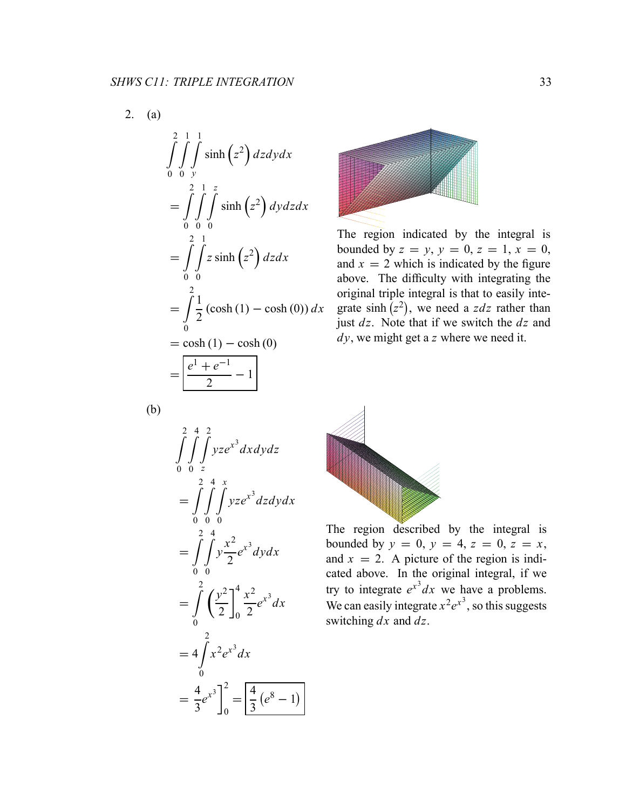$$
\int_{0}^{2} \int_{0}^{1} \int_{y}^{1} \sinh(z^{2}) dz dy dx
$$
  
= 
$$
\int_{0}^{2} \int_{0}^{1} \int_{0}^{z} \sinh(z^{2}) dy dz dx
$$
  
= 
$$
\int_{0}^{2} \int_{0}^{1} z \sinh(z^{2}) dz dx
$$
  
= 
$$
\int_{0}^{2} \frac{1}{2} (\cosh(1) - \cosh(0)) dx
$$
  
= 
$$
\cosh(1) - \cosh(0)
$$
  
= 
$$
\frac{e^{1} + e^{-1}}{2} - 1
$$



The region indicated by the integral is bounded by  $z = y$ ,  $y = 0$ ,  $z = 1$ ,  $x = 0$ , and  $x = 2$  which is indicated by the figure above. The difficulty with integrating the original triple integral is that to easily integrate sinh  $(z^2)$ , we need a *zdz* rather than just *dz*. Note that if we switch the *dz* and *dy*, we might get a *z* where we need it.

(b)





The region described by the integral is bounded by  $y = 0$ ,  $y = 4$ ,  $z = 0$ ,  $z = x$ , and  $x = 2$ . A picture of the region is indicated above. In the original integral, if we try to integrate  $e^{x^3}dx$  we have a problems. We can easily integrate  $x^2e^{x^3}$ , so this suggests switching *dx* and *dz*.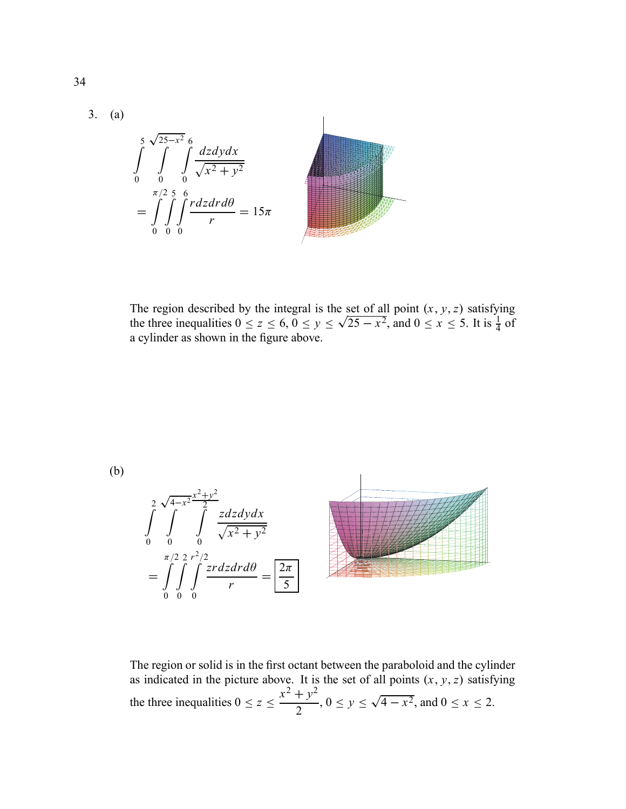

The region described by the integral is the set of all point  $(x, y, z)$  satisfying the three inequalities  $0 \le z \le 6$ ,  $0 \le y \le \sqrt{25 - x^2}$ , and  $0 \le x \le 5$ . It is  $\frac{1}{4}$  of a cylinder as shown in the figure above.



$$
\int_{0}^{2} \int_{0}^{\sqrt{4-x^{2}}} \int_{0}^{\frac{x^{2}+y^{2}}{2}} \frac{zdzdydx}{\sqrt{x^{2}+y^{2}}}
$$
\n
$$
= \int_{0}^{\pi/2} \int_{0}^{2} \int_{0}^{zdzdx} \frac{zdzdxd\theta}{r} = \boxed{\frac{2\pi}{5}}
$$

The region or solid is in the first octant between the paraboloid and the cylinder as indicated in the picture above. It is the set of all points  $(x, y, z)$  satisfying the three inequalities  $0 \le z \le$  $\frac{x^2 + y^2}{2}$ ,  $0 \le y \le \sqrt{4 - x^2}$ , and  $0 \le x \le 2$ .

34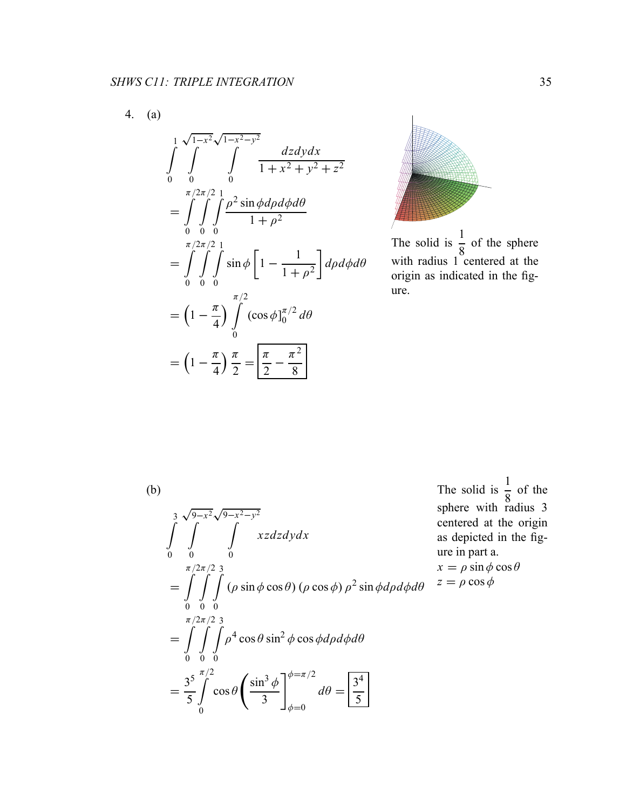4. (a)

$$
\int_{0}^{1} \int_{0}^{\sqrt{1-x^{2}}\sqrt{1-x^{2}-y^{2}}} \frac{dzdydx}{1+x^{2}+y^{2}+z^{2}}
$$
\n
$$
= \int_{0}^{\pi/2\pi/2} \int_{0}^{1} \frac{\rho^{2} \sin \phi d\rho d\phi d\theta}{1+\rho^{2}}
$$
\n
$$
= \int_{0}^{\pi/2\pi/2} \int_{0}^{1} \sin \phi \left[1 - \frac{1}{1+\rho^{2}}\right] d\rho d\phi d\theta
$$
\n
$$
= \left(1 - \frac{\pi}{4}\right) \int_{0}^{\pi/2} (\cos \phi)_{0}^{\pi/2} d\theta
$$
\n
$$
= \left(1 - \frac{\pi}{4}\right) \frac{\pi}{2} = \boxed{\frac{\pi}{2} - \frac{\pi^{2}}{8}}
$$



The solid is 1  $\frac{1}{8}$  of the sphere with radius 1 centered at the origin as indicated in the figure.

(b) ! 3 0 <sup>√</sup>9−*x*<sup>2</sup> ! 0 <sup>√</sup>9−*x*2−*y*<sup>2</sup> ! 0 *xzdzdydx* =  $\pi/2$ !! 0  $\pi/2$ .<br>∷ 0 <sup>2</sup> $\int$ <sup>2</sup> 0  $(\rho \sin \phi \cos \theta) (\rho \cos \phi) \rho^2 \sin \phi d\rho d\phi d\theta$ =  $\pi/2$ !! 0  $\pi/2$ .<br>∷ 0  $\frac{2}{1}$ 0  $\rho^4 \cos \theta \sin^2 \phi \cos \phi d\rho d\phi d\theta$  $=$   $\frac{3^{5}}{5}$  $\pi/2$ ! 0  $\cos\theta$  $\int \sin^3 \phi$ 3  $7^{\phi=\pi/2}$  $\phi = 0$  $d\theta = \frac{3^4}{5}$ 

The solid is 1 8 of the sphere with radius 3 centered at the origin as depicted in the figure in part a.  $x = \rho \sin \phi \cos \theta$  $z = \rho \cos \phi$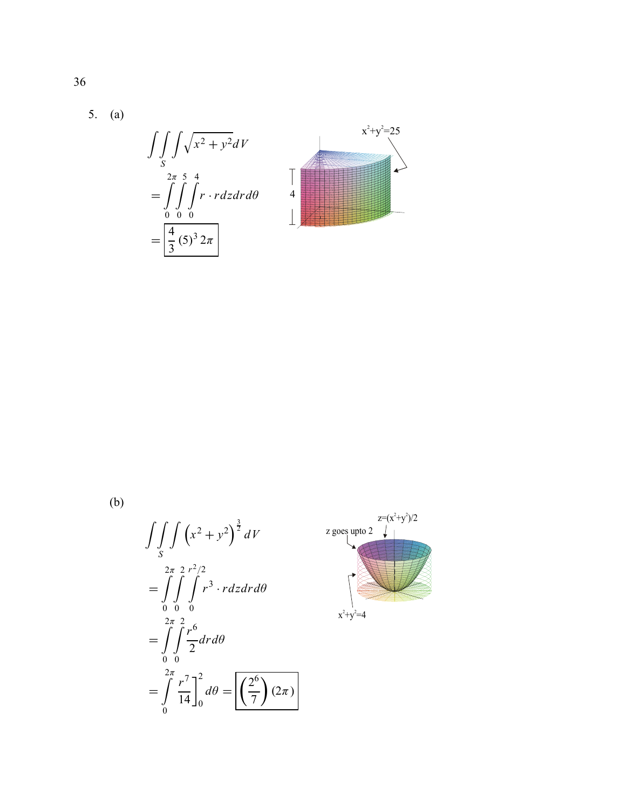5. (a)



 $(b)$ 

$$
\int\int\int_S \left(x^2 + y^2\right)^{\frac{3}{2}} dV
$$
\n
$$
= \int\int\int\int_0^{2\pi} \int_0^{2\pi} r^3 \cdot r dz dr d\theta
$$
\n
$$
= \int\int_0^{2\pi} \int_0^{2\pi} \frac{r^6}{2} dr d\theta
$$
\n
$$
= \int\int_0^{2\pi} \frac{r^7}{14} \Big|_0^{2\pi} d\theta = \boxed{\left(\frac{2^6}{7}\right)(2\pi)}
$$

$$
z = (x^{2}+y^{2})/2
$$
\n
$$
z \text{ goes up to 2}
$$
\n
$$
x^{2}+y^{2}=4
$$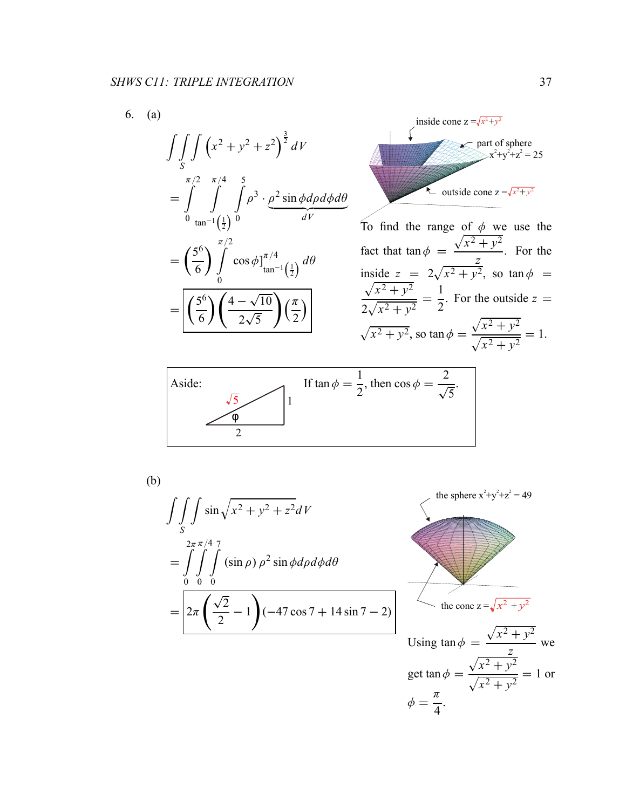$$
\int\int_{S} \int (x^2 + y^2 + z^2)^{\frac{3}{2}} dV
$$
  
= 
$$
\int_{0}^{\pi/2} \int_{\tan^{-1}(\frac{1}{2})}^{\pi/4} \int_{0}^{5} \rho^3 \cdot \rho^2 \sin \phi d\rho d\phi d\theta
$$
  
= 
$$
\left(\frac{5^6}{6}\right) \int_{0}^{\pi/2} \cos \phi \Big|_{\tan^{-1}(\frac{1}{2})}^{\pi/4} d\theta
$$
  
= 
$$
\left[\left(\frac{5^6}{6}\right) \left(\frac{4 - \sqrt{10}}{2\sqrt{5}}\right) \left(\frac{\pi}{2}\right)\right]
$$

inside cone 
$$
z = \sqrt{x^2 + y^2}
$$
  
part of sphere  
 $x^2+y^2+z^2 = 25$   
outside cone  $z = \sqrt{x^2 + y^2}$ 

To find the range of  $\phi$  we use the fact that  $\tan \phi =$  $\sqrt{x^2 + y^2}$ *z* . For the inside  $z = 2\sqrt{x^2 + y^2}$ , so  $\tan \phi = \sqrt{x^2 + y^2}$  $x^2 + y^2$  $2\sqrt{ }$  $rac{c^2 + y^2}{x^2 + y^2} = \frac{1}{2}$ . For the outside  $z =$  $\sqrt{x^2 + y^2}$ , so tan  $\phi =$  $\sqrt{x^2 + y^2}$  $\frac{\sqrt{x^2 + y^2}}{\sqrt{x^2 + y^2}} = 1.$ 



(b)

$$
\int\int\int_{S} \sin \sqrt{x^2 + y^2 + z^2} dV
$$
  
= 
$$
\int_{0}^{2\pi} \int_{0}^{\pi/4} \int_{0}^{\pi} (\sin \rho) \rho^2 \sin \phi d\rho d\phi d\theta
$$
  
= 
$$
2\pi \left(\frac{\sqrt{2}}{2} - 1\right) (-47 \cos 7 + 14 \sin 7 - 2)
$$

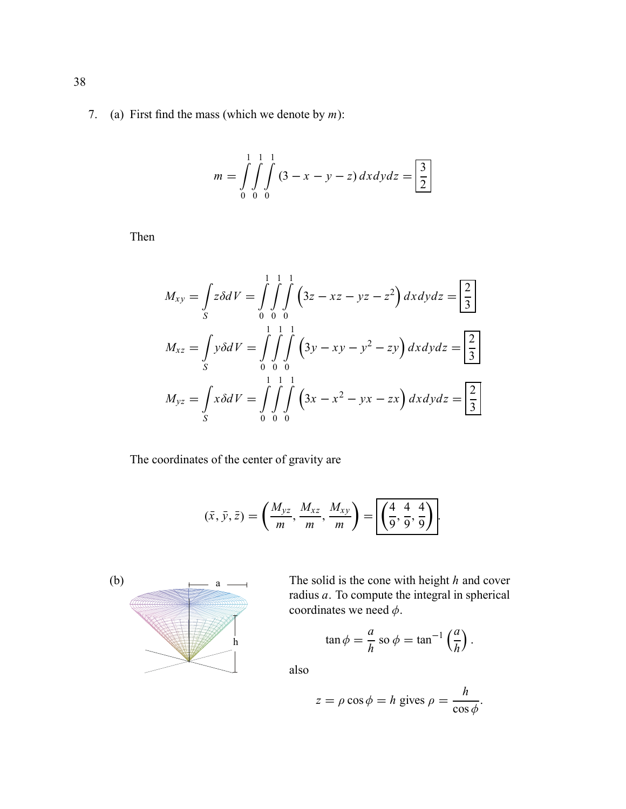7. (a) First find the mass (which we denote by *m*):

$$
m = \int_{0}^{1} \int_{0}^{1} \int_{0}^{1} (3 - x - y - z) dx dy dz = \boxed{\frac{3}{2}}
$$

Then

$$
M_{xy} = \int_{S} z \delta dV = \int_{0}^{1} \int_{0}^{1} \int_{0}^{1} (3z - xz - yz - z^{2}) dx dy dz = \boxed{\frac{2}{3}}
$$
  

$$
M_{xz} = \int_{S} y \delta dV = \int_{0}^{1} \int_{0}^{1} \int_{0}^{1} (3y - xy - y^{2} - zy) dx dy dz = \boxed{\frac{2}{3}}
$$
  

$$
M_{yz} = \int_{S} x \delta dV = \int_{0}^{1} \int_{0}^{1} \int_{0}^{1} (3x - x^{2} - yx - zx) dx dy dz = \boxed{\frac{2}{3}}
$$

The coordinates of the center of gravity are

$$
(\bar{x},\bar{y},\bar{z})=\left(\frac{M_{yz}}{m},\frac{M_{xz}}{m},\frac{M_{xy}}{m}\right)=\boxed{\left(\frac{4}{9},\frac{4}{9},\frac{4}{9}\right)}.
$$



a  $\frac{1}{\sqrt{a}}$  The solid is the cone with height *h* and cover radius *a*. To compute the integral in spherical coordinates we need  $\phi$ .

$$
\tan \phi = \frac{a}{h} \text{ so } \phi = \tan^{-1} \left( \frac{a}{h} \right).
$$

also

$$
z = \rho \cos \phi = h \text{ gives } \rho = \frac{h}{\cos \phi}.
$$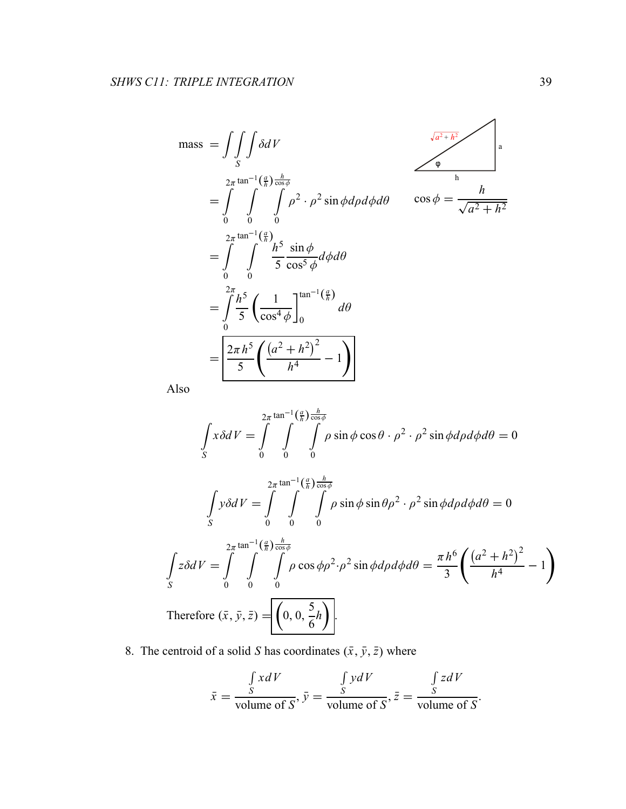$$
\begin{aligned}\n\text{mass} &= \iiint_{S} \delta dV \\
&= \int_{0}^{2\pi} \int_{0}^{\tan^{-1}(\frac{a}{h})\frac{h}{\cos\phi}} \rho^{2} \cdot \rho^{2} \sin\phi d\rho d\phi d\theta \qquad \cos\phi = \frac{h}{\sqrt{a^{2}+h^{2}}} \\
&= \int_{0}^{2\pi} \int_{0}^{\tan^{-1}(\frac{a}{h})} \frac{h^{5}}{5} \frac{\sin\phi}{\cos^{5}\phi} d\phi d\theta \\
&= \int_{0}^{2\pi} \int_{0}^{\frac{h^{5}}{5}} \frac{\sin\phi}{\cos^{4}\phi} d\phi d\theta \\
&= \int_{0}^{2\pi} \frac{h^{5}}{5} \left(\frac{1}{\cos^{4}\phi}\right) \frac{\tan^{-1}(\frac{a}{h})}{d\theta} d\theta \\
&= \boxed{\frac{2\pi h^{5}}{5} \left(\frac{(a^{2}+h^{2})^{2}}{h^{4}}-1\right)} \\
\text{Iso}\n\end{aligned}
$$

Also

!

*S*

$$
\int_{S} x \delta dV = \int_{0}^{2\pi} \int_{0}^{\tan^{-1}(\frac{a}{h})} \int_{\cos\phi}^{\frac{h}{\cos\phi}} \rho \sin\phi \cos\theta \cdot \rho^{2} \cdot \rho^{2} \sin\phi d\rho d\phi d\theta = 0
$$
  

$$
\int_{S} y \delta dV = \int_{0}^{2\pi} \int_{0}^{\tan^{-1}(\frac{a}{h})} \int_{\cos\phi}^{\frac{h}{\cos\phi}} \rho \sin\phi \sin\theta \rho^{2} \cdot \rho^{2} \sin\phi d\rho d\phi d\theta = 0
$$
  

$$
\int_{S} z \delta dV = \int_{0}^{2\pi} \int_{0}^{\tan^{-1}(\frac{a}{h})} \int_{\cos\phi}^{\frac{h}{\cos\phi}} \rho \cos\phi \rho^{2} \cdot \rho^{2} \sin\phi d\rho d\phi d\theta = \frac{\pi h^{6}}{3} \left( \frac{(a^{2} + h^{2})^{2}}{h^{4}} - 1 \right)
$$
  
Therefore  $(\bar{x}, \bar{y}, \bar{z}) = \left[ \left( 0, 0, \frac{5}{6} h \right) \right].$ 

8. The centroid of a solid *S* has coordinates  $(\bar{x}, \bar{y}, \bar{z})$  where

$$
\bar{x} = \frac{\int_{S} x dV}{\text{volume of } S}, \bar{y} = \frac{\int_{S} y dV}{\text{volume of } S}, \bar{z} = \frac{\int_{S} z dV}{\text{volume of } S}.
$$

 $\overline{ }$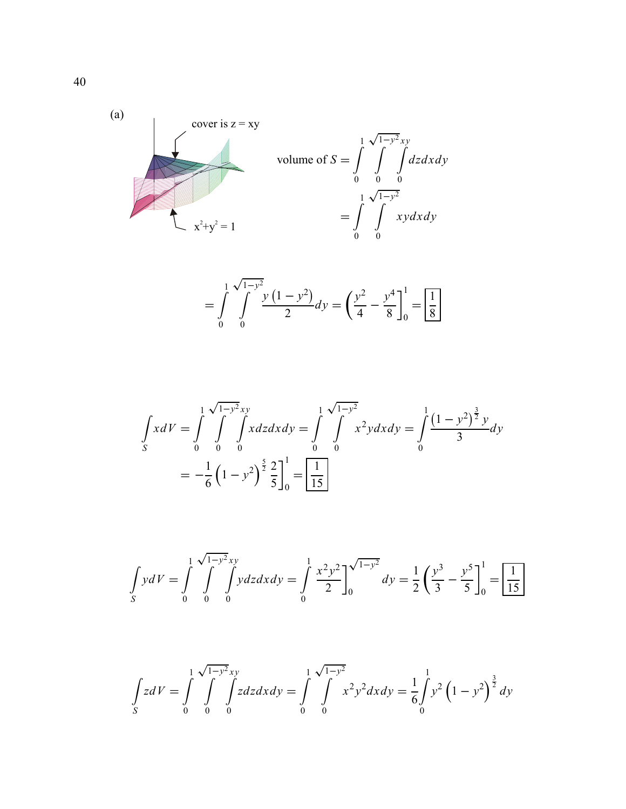

$$
= \int_{0}^{1} \int_{0}^{\sqrt{1-y^2}} \frac{y(1-y^2)}{2} dy = \left(\frac{y^2}{4} - \frac{y^4}{8}\right)_{0}^{1} = \boxed{\frac{1}{8}}
$$

$$
\int_{S} x dV = \int_{0}^{1} \int_{0}^{\sqrt{1-y^2}} x dy = \int_{0}^{1} \int_{0}^{\sqrt{1-y^2}} x^2 y dx dy = \int_{0}^{1} \frac{(1-y^2)^{\frac{3}{2}} y}{3} dy
$$

$$
= -\frac{1}{6} (1-y^2)^{\frac{5}{2}} \frac{2}{5} \Big]_{0}^{1} = \boxed{\frac{1}{15}}
$$

$$
\int_{S} y dV = \int_{0}^{1} \int_{0}^{\sqrt{1-y^2}xy} y dz dx dy = \int_{0}^{1} \frac{x^2 y^2}{2} \Big|_{0}^{\sqrt{1-y^2}} dy = \frac{1}{2} \left( \frac{y^3}{3} - \frac{y^5}{5} \right)_{0}^{1} = \boxed{\frac{1}{15}}
$$

$$
\int_{S} z dV = \int_{0}^{1} \int_{0}^{\sqrt{1-y^2}xy} z dz dx dy = \int_{0}^{1} \int_{0}^{\sqrt{1-y^2}} x^2 y^2 dx dy = \frac{1}{6} \int_{0}^{1} y^2 (1 - y^2)^{\frac{3}{2}} dy
$$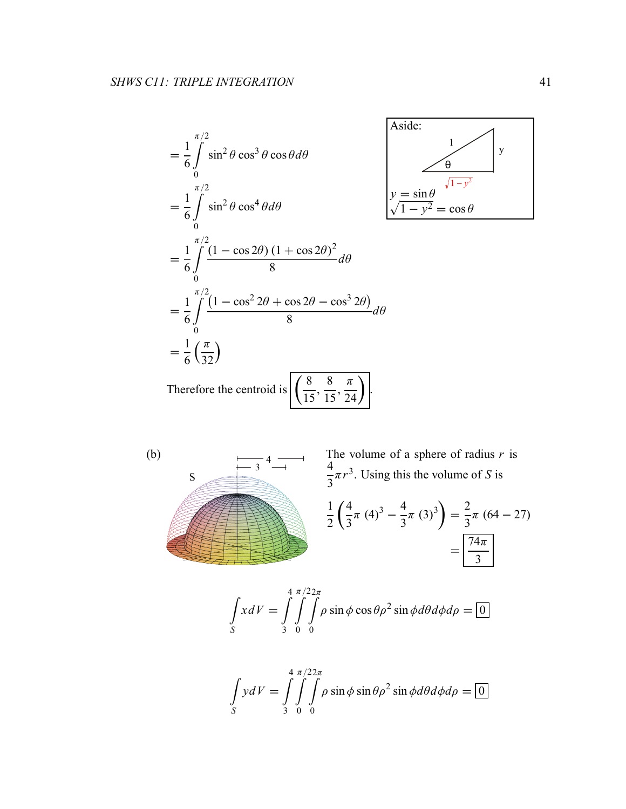$$
= \frac{1}{6} \int_{0}^{\pi/2} \sin^2 \theta \cos^3 \theta \cos \theta d\theta
$$
  
\n
$$
= \frac{1}{6} \int_{0}^{\pi/2} \sin^2 \theta \cos^4 \theta d\theta
$$
  
\n
$$
= \frac{1}{6} \int_{0}^{\pi/2} \frac{(1 - \cos 2\theta) (1 + \cos 2\theta)^2}{8} d\theta
$$
  
\n
$$
= \frac{1}{6} \int_{0}^{\pi/2} \frac{(1 - \cos^2 2\theta + \cos 2\theta - \cos^3 2\theta)}{8} d\theta
$$
  
\n
$$
= \frac{1}{6} \left(\frac{\pi}{32}\right)
$$
  
\nTherefore the centroid is  $\left[\left(\frac{8}{15}, \frac{8}{15}, \frac{\pi}{24}\right)\right]$ .



(b)  
\n
$$
\frac{1}{3}4 \longrightarrow \frac{1}{3} \text{ The volume of a sphere of radius } r \text{ is}
$$
\n
$$
\frac{4}{3}\pi r^3. \text{ Using this the volume of } S \text{ is}
$$
\n
$$
\frac{1}{2} \left( \frac{4}{3}\pi (4)^3 - \frac{4}{3}\pi (3)^3 \right) = \frac{2}{3}\pi (64 - 27)
$$
\n
$$
= \boxed{\frac{74\pi}{3}}
$$

$$
\int_{S} x dV = \int_{3}^{4} \int_{0}^{\pi/22\pi} \rho \sin \phi \cos \theta \rho^{2} \sin \phi d\theta d\phi d\rho = 0
$$

$$
\int_{S} y dV = \int_{3}^{4} \int_{0}^{\pi/22\pi} \int_{0}^{\pi} \rho \sin \phi \sin \theta \rho^{2} \sin \phi d\theta d\phi d\rho = 0
$$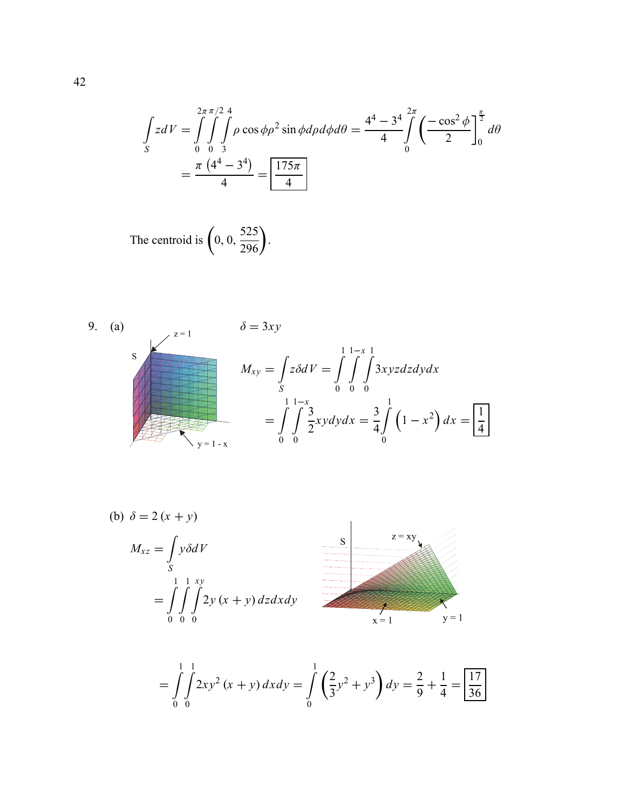$$
\int_{S} z dV = \int_{0}^{2\pi} \int_{0}^{\pi/2} \int_{0}^{4} \rho \cos \phi \rho^{2} \sin \phi d\rho d\phi d\theta = \frac{4^{4} - 3^{4}}{4} \int_{0}^{2\pi} \left( \frac{-\cos^{2} \phi}{2} \right)_{0}^{\frac{\pi}{2}} d\theta
$$

$$
= \frac{\pi (4^{4} - 3^{4})}{4} = \boxed{\frac{175\pi}{4}}
$$

The centroid is 
$$
\left(0, 0, \frac{525}{296}\right)
$$
.

9. (a)  
\n
$$
\delta = 3xy
$$
\n
$$
M_{xy} = \int_{S} z \delta dV = \int_{0}^{1} \int_{0}^{1-x} \frac{3xyz \, dz \, dy \, dx}{0}
$$
\n
$$
= \int_{0}^{1} \int_{0}^{1-x} \frac{3}{2} xy \, dy \, dx = \frac{3}{4} \int_{0}^{1} (1-x^2) \, dx = \boxed{\frac{1}{4}}
$$

(b) 
$$
\delta = 2 (x + y)
$$
  
\n
$$
M_{xz} = \int_{S} y \delta dV
$$
\n
$$
= \int_{0}^{1} \int_{0}^{1} \int_{0}^{xy} 2y (x + y) dz dx dy
$$
\n
$$
= \int_{0}^{1} \int_{0}^{1} \int_{0}^{xy} 2y (x + y) dz dx dy
$$
\n
$$
= \int_{0}^{1} \int_{0}^{1} \int_{0}^{xy} 2y (x + y) dz dx dy
$$
\n
$$
= \int_{0}^{1} \int_{0}^{1} \int_{0}^{xy} 2y (x + y) dz dx dy
$$
\n
$$
= \int_{0}^{1} \int_{0}^{1} \int_{0}^{xy} 2y (x + y) dz dx dy
$$

$$
= \int_{0}^{1} \int_{0}^{1} 2xy^{2}(x+y) dx dy = \int_{0}^{1} \left(\frac{2}{3}y^{2} + y^{3}\right) dy = \frac{2}{9} + \frac{1}{4} = \boxed{\frac{17}{36}}
$$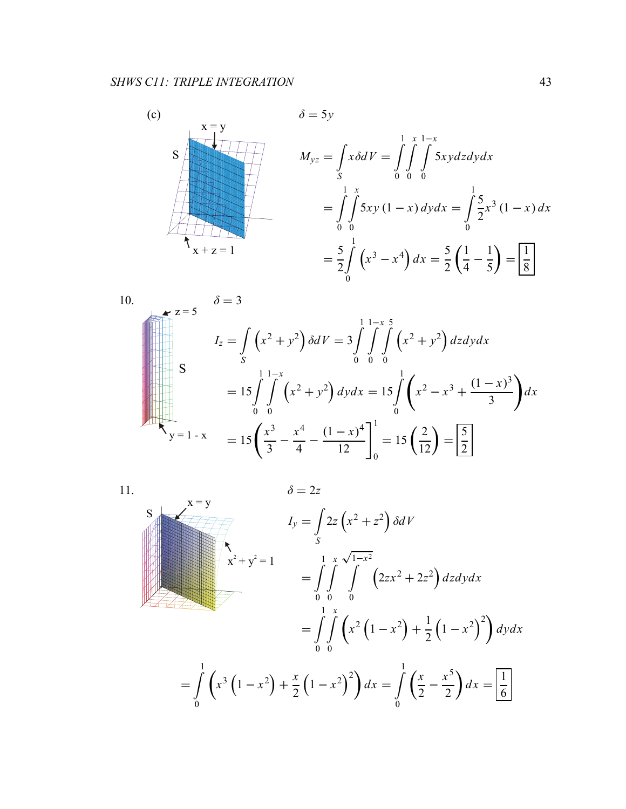$(c)$  $x = y$  $\mathbf S$  $x + z = 1$ 

$$
\delta = 5y
$$
  
\n
$$
M_{yz} = \int_{S} x \delta dV = \int_{0}^{1} \int_{0}^{x} \int_{0}^{1-x} 5xy \, dz \, dy \, dx
$$
  
\n
$$
= \int_{0}^{1} \int_{0}^{x} 5xy (1-x) \, dy \, dx = \int_{0}^{1} \frac{5}{2} x^{3} (1-x) \, dx
$$
  
\n
$$
= \frac{5}{2} \int_{0}^{1} (x^{3} - x^{4}) \, dx = \frac{5}{2} \left( \frac{1}{4} - \frac{1}{5} \right) = \boxed{\frac{1}{8}}
$$

10.  
\n
$$
\delta = 3
$$
\n
$$
I_z = \int_S (x^2 + y^2) \delta dV = 3 \int_0^{11-x} \int_0^5 (x^2 + y^2) dz dy dx
$$
\n
$$
= 15 \int_0^1 \int_0^1 (x^2 + y^2) dy dx = 15 \int_0^1 (x^2 - x^3 + \frac{(1-x)^3}{3}) dx
$$
\n
$$
= 15 \left( \frac{x^3}{3} - \frac{x^4}{4} - \frac{(1-x)^4}{12} \right)_0^1 = 15 \left( \frac{2}{12} \right) = \frac{5}{2}
$$

 $11.$ 

$$
\delta = 2z
$$
\n
$$
I_{y} = \int_{S} 2z (x^{2} + z^{2}) \delta dV
$$
\n
$$
x^{2} + y^{2} = 1
$$
\n
$$
= \int_{0}^{1} \int_{0}^{x} \int_{0}^{1-x^{2}} (2zx^{2} + 2z^{2}) dz dy dx
$$
\n
$$
= \int_{0}^{1} \int_{0}^{x} (x^{2} (1 - x^{2}) + \frac{1}{2} (1 - x^{2})^{2}) dy dx
$$
\n
$$
= \int_{0}^{1} (x^{3} (1 - x^{2}) + \frac{x}{2} (1 - x^{2})^{2}) dx = \int_{0}^{1} (\frac{x}{2} - \frac{x^{5}}{2}) dx = \boxed{\frac{1}{6}}
$$